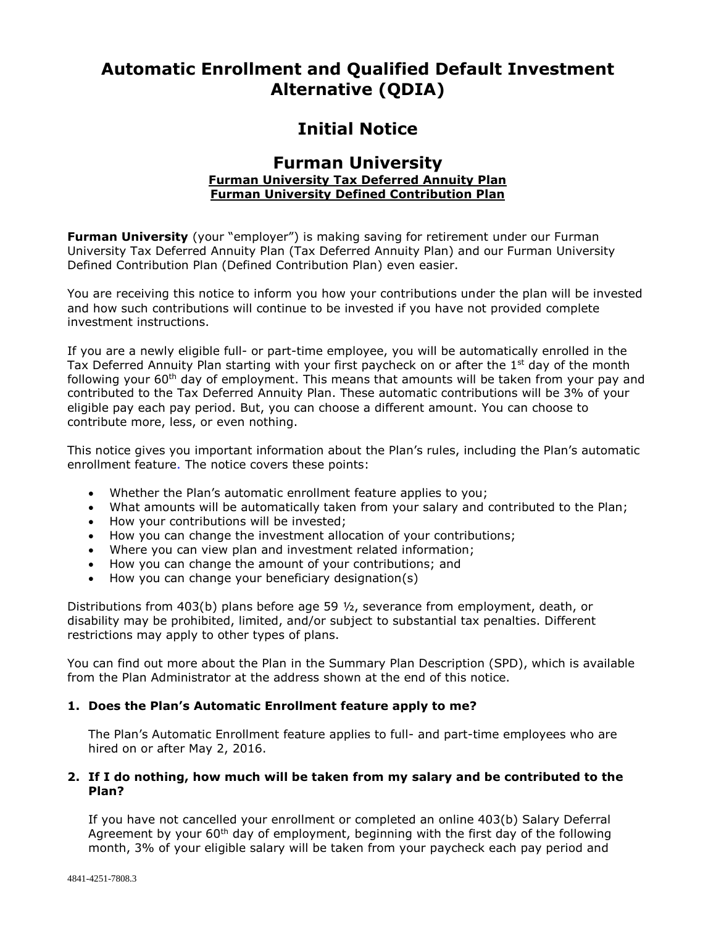# **Automatic Enrollment and Qualified Default Investment Alternative (QDIA)**

# **Initial Notice**

# **Furman University Furman University Tax Deferred Annuity Plan Furman University Defined Contribution Plan**

**Furman University** (your "employer") is making saving for retirement under our Furman University Tax Deferred Annuity Plan (Tax Deferred Annuity Plan) and our Furman University Defined Contribution Plan (Defined Contribution Plan) even easier.

You are receiving this notice to inform you how your contributions under the plan will be invested and how such contributions will continue to be invested if you have not provided complete investment instructions.

If you are a newly eligible full- or part-time employee, you will be automatically enrolled in the Tax Deferred Annuity Plan starting with your first paycheck on or after the  $1<sup>st</sup>$  day of the month following your  $60<sup>th</sup>$  day of employment. This means that amounts will be taken from your pay and contributed to the Tax Deferred Annuity Plan. These automatic contributions will be 3% of your eligible pay each pay period. But, you can choose a different amount. You can choose to contribute more, less, or even nothing.

This notice gives you important information about the Plan's rules, including the Plan's automatic enrollment feature. The notice covers these points:

- Whether the Plan's automatic enrollment feature applies to you;
- What amounts will be automatically taken from your salary and contributed to the Plan;
- How your contributions will be invested;
- How you can change the investment allocation of your contributions;
- Where you can view plan and investment related information;
- How you can change the amount of your contributions; and
- How you can change your beneficiary designation(s)

Distributions from 403(b) plans before age 59 ½, severance from employment, death, or disability may be prohibited, limited, and/or subject to substantial tax penalties. Different restrictions may apply to other types of plans.

You can find out more about the Plan in the Summary Plan Description (SPD), which is available from the Plan Administrator at the address shown at the end of this notice.

# **1. Does the Plan's Automatic Enrollment feature apply to me?**

The Plan's Automatic Enrollment feature applies to full- and part-time employees who are hired on or after May 2, 2016.

# **2. If I do nothing, how much will be taken from my salary and be contributed to the Plan?**

If you have not cancelled your enrollment or completed an online 403(b) Salary Deferral Agreement by your 60<sup>th</sup> day of employment, beginning with the first day of the following month, 3% of your eligible salary will be taken from your paycheck each pay period and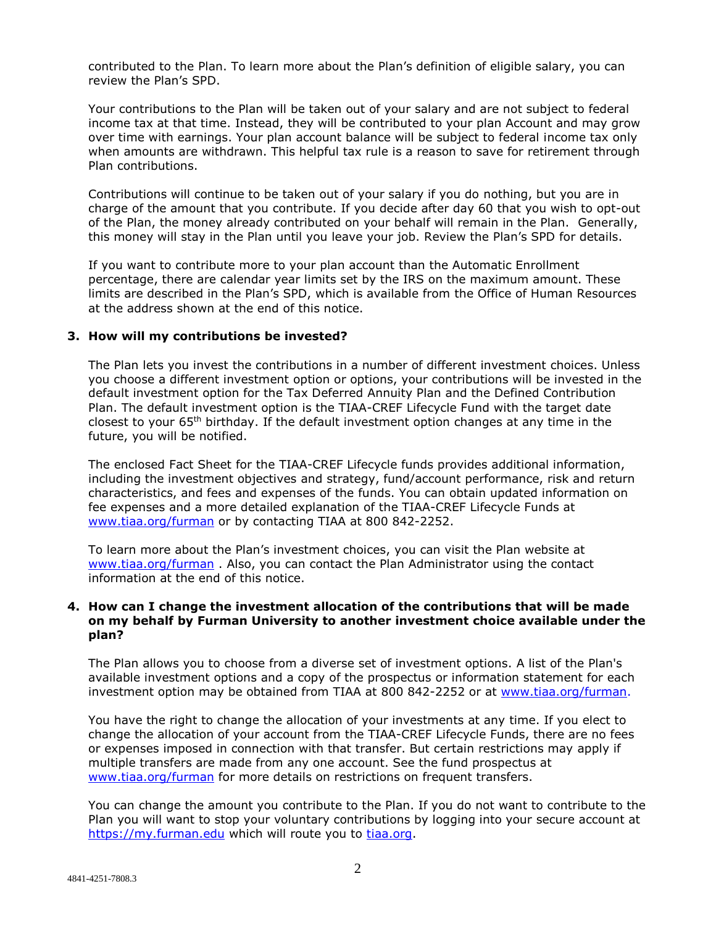contributed to the Plan. To learn more about the Plan's definition of eligible salary, you can review the Plan's SPD.

Your contributions to the Plan will be taken out of your salary and are not subject to federal income tax at that time. Instead, they will be contributed to your plan Account and may grow over time with earnings. Your plan account balance will be subject to federal income tax only when amounts are withdrawn. This helpful tax rule is a reason to save for retirement through Plan contributions.

Contributions will continue to be taken out of your salary if you do nothing, but you are in charge of the amount that you contribute. If you decide after day 60 that you wish to opt-out of the Plan, the money already contributed on your behalf will remain in the Plan. Generally, this money will stay in the Plan until you leave your job. Review the Plan's SPD for details.

If you want to contribute more to your plan account than the Automatic Enrollment percentage, there are calendar year limits set by the IRS on the maximum amount. These limits are described in the Plan's SPD, which is available from the Office of Human Resources at the address shown at the end of this notice.

#### **3. How will my contributions be invested?**

The Plan lets you invest the contributions in a number of different investment choices. Unless you choose a different investment option or options, your contributions will be invested in the default investment option for the Tax Deferred Annuity Plan and the Defined Contribution Plan. The default investment option is the TIAA-CREF Lifecycle Fund with the target date closest to your 65th birthday. If the default investment option changes at any time in the future, you will be notified.

The enclosed Fact Sheet for the TIAA-CREF Lifecycle funds provides additional information, including the investment objectives and strategy, fund/account performance, risk and return characteristics, and fees and expenses of the funds. You can obtain updated information on fee expenses and a more detailed explanation of the TIAA-CREF Lifecycle Funds at [www.tiaa.org/furman](http://www.tiaa.org/furman) or by contacting TIAA at 800 842-2252.

To learn more about the Plan's investment choices, you can visit the Plan website at [www.tiaa.org/furman](http://www.tiaa.org/furman) . Also, you can contact the Plan Administrator using the contact information at the end of this notice.

#### **4. How can I change the investment allocation of the contributions that will be made on my behalf by Furman University to another investment choice available under the plan?**

The Plan allows you to choose from a diverse set of investment options. A list of the Plan's available investment options and a copy of the prospectus or information statement for each investment option may be obtained from TIAA at 800 842-2252 or at [www.tiaa.org/furman.](http://www.tiaa.org/furman)

You have the right to change the allocation of your investments at any time. If you elect to change the allocation of your account from the TIAA-CREF Lifecycle Funds, there are no fees or expenses imposed in connection with that transfer. But certain restrictions may apply if multiple transfers are made from any one account. See the fund prospectus at [www.tiaa.org/furman](http://www.tiaa.org/furman) for more details on restrictions on frequent transfers.

You can change the amount you contribute to the Plan. If you do not want to contribute to the Plan you will want to stop your voluntary contributions by logging into your secure account at [https://my.furman.edu](https://my.furman.edu/) which will route you to [tiaa.org.](http://www.tiaa-cref.org/)